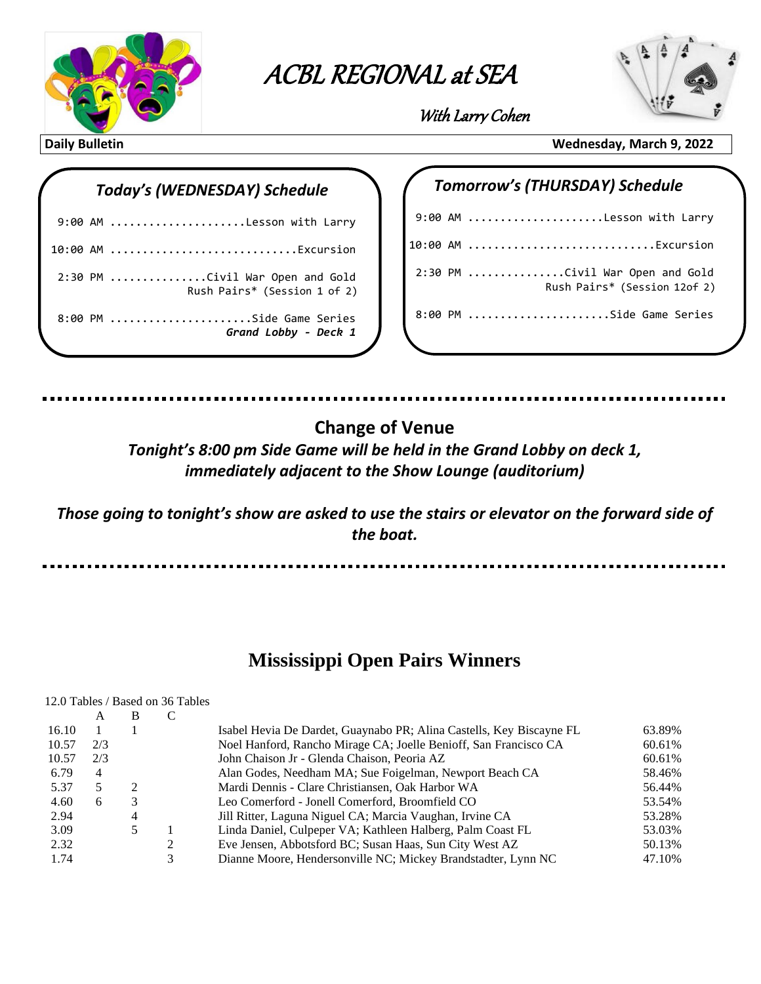

# **ACBL Regional at Sea with Larry Cohen** ACBL REGIONAL at SEA

 $\overline{\phantom{a}}$ 



With Larry Cohen

## *Today's (WEDNESDAY) Schedule*

| 9:00 AM Lesson with Larry                                       |
|-----------------------------------------------------------------|
| 10:00 AM Excursion                                              |
| 2:30 PM Civil War Open and Gold<br>Rush Pairs* (Session 1 of 2) |
| 8:00 PM Side Game Series<br>Grand Lobby - Deck 1                |

### **Daily Bulletin Wednesday, March 9, 2022**

# 9:00 AM .....................Lesson with Larry 10:00 AM .............................Excursion 2:30 PM ...............Civil War Open and Gold Rush Pairs\* (Session 12of 2) 8:00 PM ......................Side Game Series

 *Tomorrow's (THURSDAY) Schedule*

# **Change of Venue**

*Tonight's 8:00 pm Side Game will be held in the Grand Lobby on deck 1, immediately adjacent to the Show Lounge (auditorium)*

*Those going to tonight's show are asked to use the stairs or elevator on the forward side of the boat.*

## **Mississippi Open Pairs Winners**

#### 12.0 Tables / Based on 36 Tables  $\Delta$  R  $\Gamma$

|       | $\sqrt{1}$     | . |   |                                                                      |        |
|-------|----------------|---|---|----------------------------------------------------------------------|--------|
| 16.10 |                |   |   | Isabel Hevia De Dardet, Guaynabo PR; Alina Castells, Key Biscayne FL | 63.89% |
| 10.57 | 2/3            |   |   | Noel Hanford, Rancho Mirage CA; Joelle Benioff, San Francisco CA     | 60.61% |
| 10.57 | 2/3            |   |   | John Chaison Jr - Glenda Chaison, Peoria AZ                          | 60.61% |
| 6.79  | $\overline{4}$ |   |   | Alan Godes, Needham MA; Sue Foigelman, Newport Beach CA              | 58.46% |
| 5.37  |                |   |   | Mardi Dennis - Clare Christiansen, Oak Harbor WA                     | 56.44% |
| 4.60  | 6              |   |   | Leo Comerford - Jonell Comerford, Broomfield CO                      | 53.54% |
| 2.94  |                | 4 |   | Jill Ritter, Laguna Niguel CA; Marcia Vaughan, Irvine CA             | 53.28% |
| 3.09  |                |   |   | Linda Daniel, Culpeper VA; Kathleen Halberg, Palm Coast FL           | 53.03% |
| 2.32  |                |   |   | Eve Jensen, Abbotsford BC; Susan Haas, Sun City West AZ              | 50.13% |
| 1.74  |                |   | 3 | Dianne Moore, Hendersonville NC; Mickey Brandstadter, Lynn NC        | 47.10% |
|       |                |   |   |                                                                      |        |